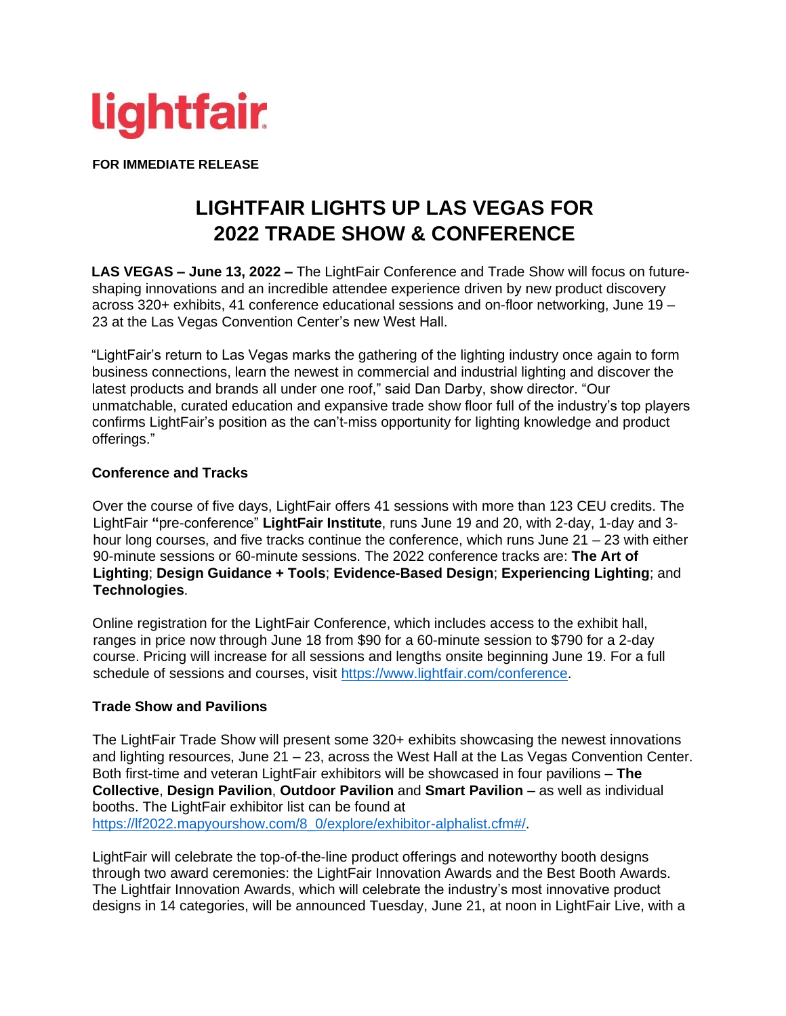

**FOR IMMEDIATE RELEASE** 

# **LIGHTFAIR LIGHTS UP LAS VEGAS FOR 2022 TRADE SHOW & CONFERENCE**

**LAS VEGAS – June 13, 2022 –** The LightFair Conference and Trade Show will focus on futureshaping innovations and an incredible attendee experience driven by new product discovery across 320+ exhibits, 41 conference educational sessions and on-floor networking, June 19 – 23 at the Las Vegas Convention Center's new West Hall.

"LightFair's return to Las Vegas marks the gathering of the lighting industry once again to form business connections, learn the newest in commercial and industrial lighting and discover the latest products and brands all under one roof," said Dan Darby, show director. "Our unmatchable, curated education and expansive trade show floor full of the industry's top players confirms LightFair's position as the can't-miss opportunity for lighting knowledge and product offerings."

#### **Conference and Tracks**

Over the course of five days, LightFair offers 41 sessions with more than 123 CEU credits. The LightFair **"**pre-conference" **LightFair Institute**, runs June 19 and 20, with 2-day, 1-day and 3 hour long courses, and five tracks continue the conference, which runs June 21 – 23 with either 90-minute sessions or 60-minute sessions. The 2022 conference tracks are: **The Art of Lighting**; **Design Guidance + Tools**; **Evidence-Based Design**; **Experiencing Lighting**; and **Technologies**.

Online registration for the LightFair Conference, which includes access to the exhibit hall, ranges in price now through June 18 from \$90 for a 60-minute session to \$790 for a 2-day course. Pricing will increase for all sessions and lengths onsite beginning June 19. For a full schedule of sessions and courses, visit [https://www.lightfair.com/conference.](https://www.lightfair.com/conference)

## **Trade Show and Pavilions**

The LightFair Trade Show will present some 320+ exhibits showcasing the newest innovations and lighting resources, June 21 – 23, across the West Hall at the Las Vegas Convention Center. Both first-time and veteran LightFair exhibitors will be showcased in four pavilions – **The Collective**, **Design Pavilion**, **Outdoor Pavilion** and **Smart Pavilion** – as well as individual booths. The LightFair exhibitor list can be found at [https://lf2022.mapyourshow.com/8\\_0/explore/exhibitor-alphalist.cfm#/.](https://lf2022.mapyourshow.com/8_0/explore/exhibitor-alphalist.cfm#/)

LightFair will celebrate the top-of-the-line product offerings and noteworthy booth designs through two award ceremonies: the LightFair Innovation Awards and the Best Booth Awards. The Lightfair Innovation Awards, which will celebrate the industry's most innovative product designs in 14 categories, will be announced Tuesday, June 21, at noon in LightFair Live, with a